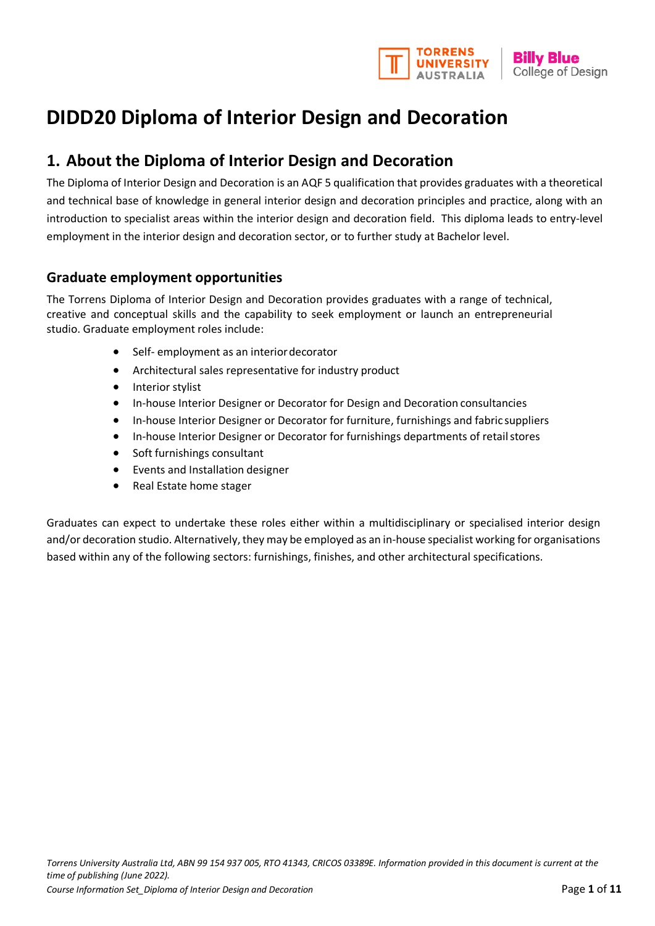

# **DIDD20 Diploma of Interior Design and Decoration**

## **1. About the Diploma of Interior Design and Decoration**

The Diploma of Interior Design and Decoration is an AQF 5 qualification that provides graduates with a theoretical and technical base of knowledge in general interior design and decoration principles and practice, along with an introduction to specialist areas within the interior design and decoration field. This diploma leads to entry‐level employment in the interior design and decoration sector, or to further study at Bachelor level.

### **Graduate employment opportunities**

The Torrens Diploma of Interior Design and Decoration provides graduates with a range of technical, creative and conceptual skills and the capability to seek employment or launch an entrepreneurial studio. Graduate employment roles include:

- Self- employment as an interiordecorator
- Architectural sales representative for industry product
- Interior stylist
- In‐house Interior Designer or Decorator for Design and Decoration consultancies
- In‐house Interior Designer or Decorator for furniture, furnishings and fabric suppliers
- In-house Interior Designer or Decorator for furnishings departments of retail stores
- Soft furnishings consultant
- Events and Installation designer
- Real Estate home stager

Graduates can expect to undertake these roles either within a multidisciplinary or specialised interior design and/or decoration studio. Alternatively, they may be employed as an in-house specialist working for organisations based within any of the following sectors: furnishings, finishes, and other architectural specifications.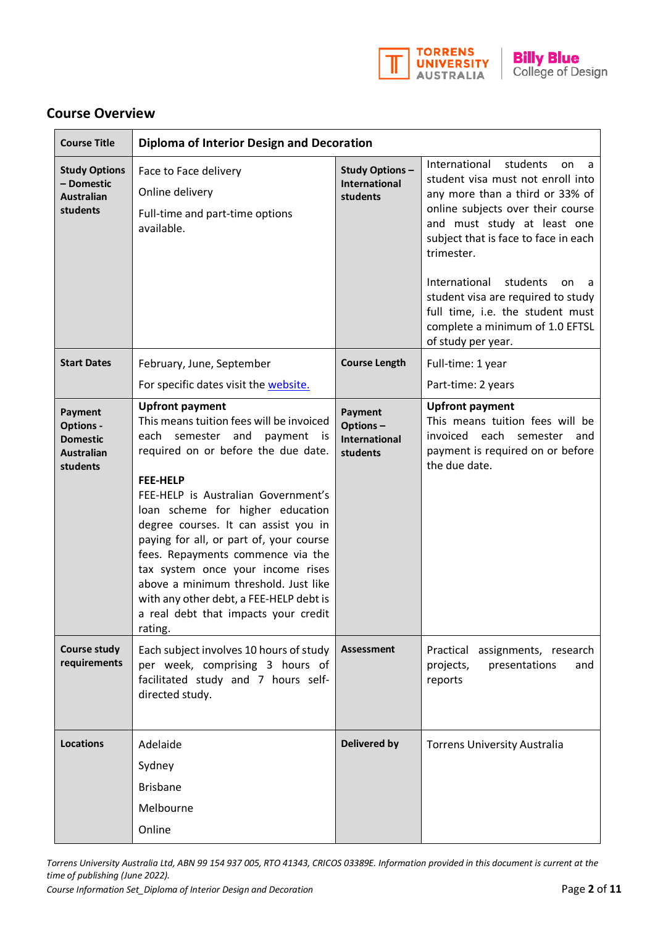

### **Course Overview**

| <b>Course Title</b>                                                             | <b>Diploma of Interior Design and Decoration</b>                                                                                                                                                                                                                                                                                                                                                                                                                                                                                                    |                                                           |                                                                                                                                                                                                                                                                                                                                                                                                                   |
|---------------------------------------------------------------------------------|-----------------------------------------------------------------------------------------------------------------------------------------------------------------------------------------------------------------------------------------------------------------------------------------------------------------------------------------------------------------------------------------------------------------------------------------------------------------------------------------------------------------------------------------------------|-----------------------------------------------------------|-------------------------------------------------------------------------------------------------------------------------------------------------------------------------------------------------------------------------------------------------------------------------------------------------------------------------------------------------------------------------------------------------------------------|
| <b>Study Options</b><br>- Domestic<br><b>Australian</b><br>students             | Face to Face delivery<br>Online delivery<br>Full-time and part-time options<br>available.                                                                                                                                                                                                                                                                                                                                                                                                                                                           | <b>Study Options-</b><br><b>International</b><br>students | International<br>students<br>on<br>a<br>student visa must not enroll into<br>any more than a third or 33% of<br>online subjects over their course<br>and must study at least one<br>subject that is face to face in each<br>trimester.<br>International<br>students<br>on<br>a<br>student visa are required to study<br>full time, i.e. the student must<br>complete a minimum of 1.0 EFTSL<br>of study per year. |
| <b>Start Dates</b>                                                              | February, June, September                                                                                                                                                                                                                                                                                                                                                                                                                                                                                                                           | <b>Course Length</b>                                      | Full-time: 1 year                                                                                                                                                                                                                                                                                                                                                                                                 |
|                                                                                 | For specific dates visit the website.                                                                                                                                                                                                                                                                                                                                                                                                                                                                                                               |                                                           | Part-time: 2 years                                                                                                                                                                                                                                                                                                                                                                                                |
| Payment<br><b>Options -</b><br><b>Domestic</b><br><b>Australian</b><br>students | <b>Upfront payment</b><br>This means tuition fees will be invoiced<br>semester<br>each<br>and<br>payment is<br>required on or before the due date.<br><b>FEE-HELP</b><br>FEE-HELP is Australian Government's<br>loan scheme for higher education<br>degree courses. It can assist you in<br>paying for all, or part of, your course<br>fees. Repayments commence via the<br>tax system once your income rises<br>above a minimum threshold. Just like<br>with any other debt, a FEE-HELP debt is<br>a real debt that impacts your credit<br>rating. | Payment<br>Options-<br><b>International</b><br>students   | <b>Upfront payment</b><br>This means tuition fees will be<br>invoiced each semester<br>and<br>payment is required on or before<br>the due date.                                                                                                                                                                                                                                                                   |
| <b>Course study</b><br>requirements                                             | Each subject involves 10 hours of study<br>per week, comprising 3 hours of<br>facilitated study and 7 hours self-<br>directed study.                                                                                                                                                                                                                                                                                                                                                                                                                | <b>Assessment</b>                                         | Practical<br>assignments, research<br>presentations<br>projects,<br>and<br>reports                                                                                                                                                                                                                                                                                                                                |
| <b>Locations</b>                                                                | Adelaide<br>Sydney<br><b>Brisbane</b><br>Melbourne<br>Online                                                                                                                                                                                                                                                                                                                                                                                                                                                                                        | <b>Delivered by</b>                                       | <b>Torrens University Australia</b>                                                                                                                                                                                                                                                                                                                                                                               |

*Torrens University Australia Ltd, ABN 99 154 937 005, RTO 41343, CRICOS 03389E. Information provided in this document is current at the time of publishing (June 2022). Course Information Set\_Diploma of Interior Design and Decoration* Page 2 of 11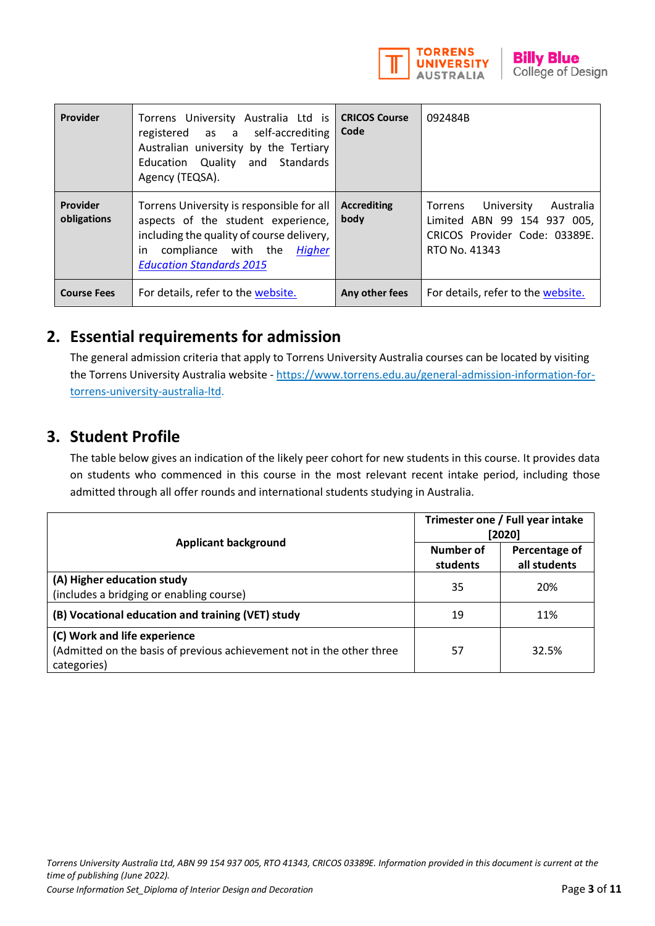

| Provider                | Torrens University Australia Ltd is<br>registered as a self-accrediting<br>Australian university by the Tertiary<br>Education Quality and Standards<br>Agency (TEQSA).                                 | <b>CRICOS Course</b><br>Code | 092484B                                                                                                             |
|-------------------------|--------------------------------------------------------------------------------------------------------------------------------------------------------------------------------------------------------|------------------------------|---------------------------------------------------------------------------------------------------------------------|
| Provider<br>obligations | Torrens University is responsible for all<br>aspects of the student experience,<br>including the quality of course delivery,<br>compliance with the<br>in<br>Higher<br><b>Education Standards 2015</b> | <b>Accrediting</b><br>body   | University<br>Australia<br>Torrens<br>Limited ABN 99 154 937 005,<br>CRICOS Provider Code: 03389E.<br>RTO No. 41343 |
| <b>Course Fees</b>      | For details, refer to the website.                                                                                                                                                                     | Any other fees               | For details, refer to the website.                                                                                  |

## **2. Essential requirements for admission**

The general admission criteria that apply to Torrens University Australia courses can be located by visiting the Torrens University Australia website - [https://www.torrens.edu.au/general-admission-information-for](https://www.torrens.edu.au/general-admission-information-for-torrens-university-australia-ltd)[torrens-university-australia-ltd.](https://www.torrens.edu.au/general-admission-information-for-torrens-university-australia-ltd)

## **3. Student Profile**

The table below gives an indication of the likely peer cohort for new students in this course. It provides data on students who commenced in this course in the most relevant recent intake period, including those admitted through all offer rounds and international students studying in Australia.

|                                                                                                                      | Trimester one / Full year intake<br>[2020] |                               |
|----------------------------------------------------------------------------------------------------------------------|--------------------------------------------|-------------------------------|
| <b>Applicant background</b>                                                                                          | Number of<br>students                      | Percentage of<br>all students |
| (A) Higher education study<br>(includes a bridging or enabling course)                                               | 35                                         | 20%                           |
| (B) Vocational education and training (VET) study                                                                    | 19                                         | 11%                           |
| (C) Work and life experience<br>(Admitted on the basis of previous achievement not in the other three<br>categories) | 57                                         | 32.5%                         |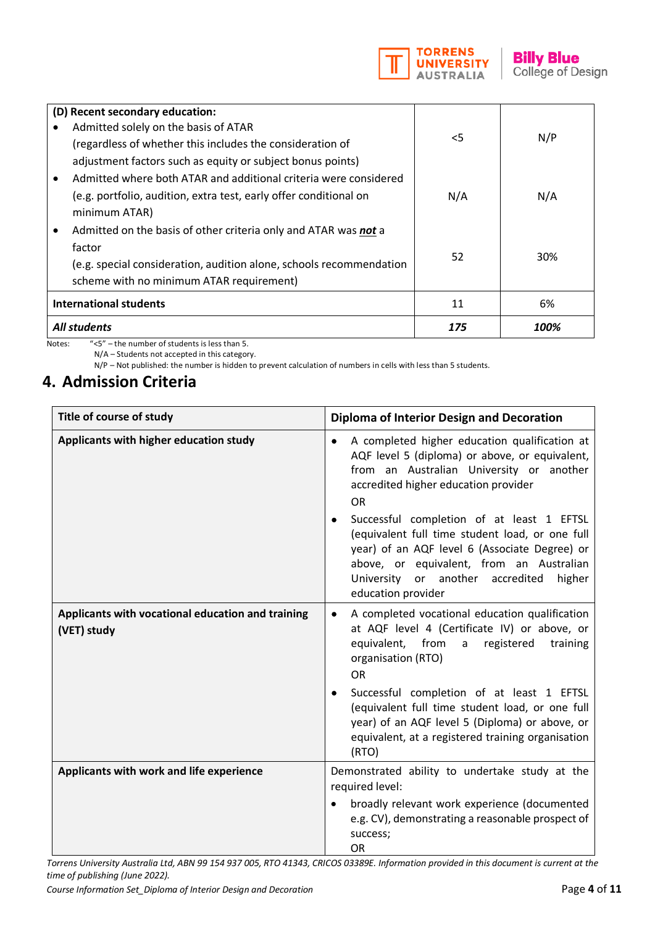

|                               | (D) Recent secondary education:                                     |       |      |
|-------------------------------|---------------------------------------------------------------------|-------|------|
|                               | Admitted solely on the basis of ATAR                                |       |      |
|                               | (regardless of whether this includes the consideration of           | $<$ 5 | N/P  |
|                               | adjustment factors such as equity or subject bonus points)          |       |      |
|                               | Admitted where both ATAR and additional criteria were considered    |       |      |
|                               | (e.g. portfolio, audition, extra test, early offer conditional on   | N/A   | N/A  |
|                               | minimum ATAR)                                                       |       |      |
|                               | Admitted on the basis of other criteria only and ATAR was not a     |       |      |
|                               | factor                                                              |       |      |
|                               | (e.g. special consideration, audition alone, schools recommendation | 52    | 30%  |
|                               | scheme with no minimum ATAR requirement)                            |       |      |
| <b>International students</b> |                                                                     | 11    | 6%   |
| <b>All students</b>           |                                                                     | 175   | 100% |

Notes: "<5" – the number of students is less than 5. N/A – Students not accepted in this category.

N/P – Not published: the number is hidden to prevent calculation of numbers in cells with less than 5 students.

## **4. Admission Criteria**

| Title of course of study                                         | <b>Diploma of Interior Design and Decoration</b>                                                                                                                                                                                                                                                                                                                                                                                                                               |  |
|------------------------------------------------------------------|--------------------------------------------------------------------------------------------------------------------------------------------------------------------------------------------------------------------------------------------------------------------------------------------------------------------------------------------------------------------------------------------------------------------------------------------------------------------------------|--|
| Applicants with higher education study                           | A completed higher education qualification at<br>$\bullet$<br>AQF level 5 (diploma) or above, or equivalent,<br>from an Australian University or another<br>accredited higher education provider<br><b>OR</b><br>Successful completion of at least 1 EFTSL<br>(equivalent full time student load, or one full<br>year) of an AQF level 6 (Associate Degree) or<br>above, or equivalent, from an Australian<br>University or another accredited<br>higher<br>education provider |  |
| Applicants with vocational education and training<br>(VET) study | A completed vocational education qualification<br>at AQF level 4 (Certificate IV) or above, or<br>equivalent, from a<br>registered<br>training<br>organisation (RTO)<br><b>OR</b><br>Successful completion of at least 1 EFTSL<br>(equivalent full time student load, or one full<br>year) of an AQF level 5 (Diploma) or above, or<br>equivalent, at a registered training organisation<br>(RTO)                                                                              |  |
| Applicants with work and life experience                         | Demonstrated ability to undertake study at the<br>required level:<br>broadly relevant work experience (documented<br>e.g. CV), demonstrating a reasonable prospect of<br>success;<br><b>OR</b>                                                                                                                                                                                                                                                                                 |  |

*Torrens University Australia Ltd, ABN 99 154 937 005, RTO 41343, CRICOS 03389E. Information provided in this document is current at the time of publishing (June 2022).* 

*Course Information Set\_Diploma of Interior Design and Decoration* Page 4 of 11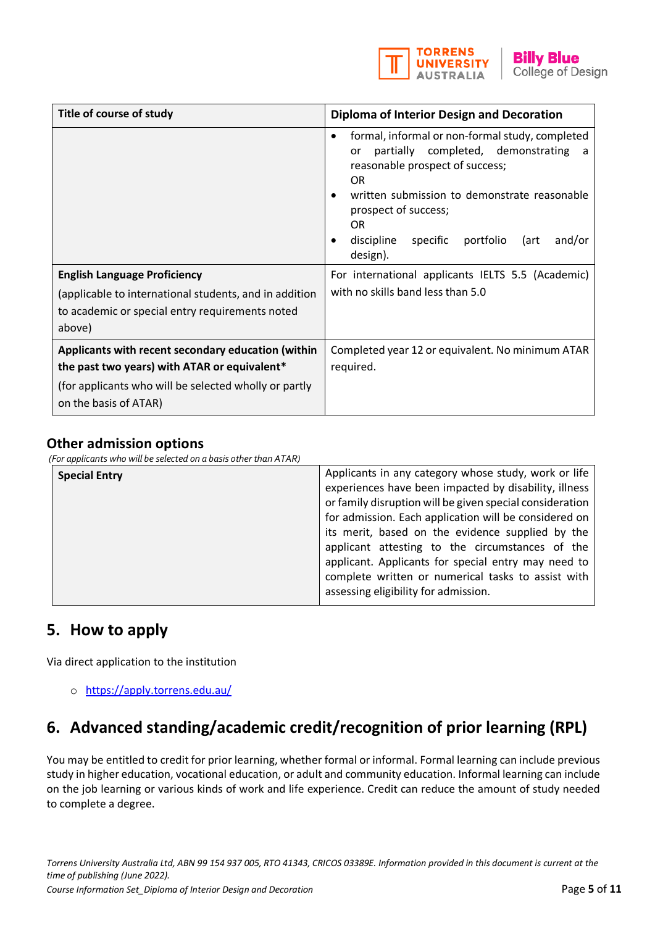

| Title of course of study                                                                                                                                                             | <b>Diploma of Interior Design and Decoration</b>                                                                                                                                                                                                                                                                                                                                                          |  |
|--------------------------------------------------------------------------------------------------------------------------------------------------------------------------------------|-----------------------------------------------------------------------------------------------------------------------------------------------------------------------------------------------------------------------------------------------------------------------------------------------------------------------------------------------------------------------------------------------------------|--|
| <b>English Language Proficiency</b><br>(applicable to international students, and in addition                                                                                        | formal, informal or non-formal study, completed<br>completed, demonstrating<br>partially<br>or<br>- a<br>reasonable prospect of success;<br><b>OR</b><br>written submission to demonstrate reasonable<br>prospect of success;<br><b>OR</b><br>discipline<br>specific<br>portfolio<br>and/or<br>(art<br>design).<br>For international applicants IELTS 5.5 (Academic)<br>with no skills band less than 5.0 |  |
| to academic or special entry requirements noted<br>above)                                                                                                                            |                                                                                                                                                                                                                                                                                                                                                                                                           |  |
| Applicants with recent secondary education (within<br>the past two years) with ATAR or equivalent*<br>(for applicants who will be selected wholly or partly<br>on the basis of ATAR) | Completed year 12 or equivalent. No minimum ATAR<br>required.                                                                                                                                                                                                                                                                                                                                             |  |

### **Other admission options**

*(For applicants who will be selected on a basis other than ATAR)*

| <b>Special Entry</b> | Applicants in any category whose study, work or life     |
|----------------------|----------------------------------------------------------|
|                      | experiences have been impacted by disability, illness    |
|                      | or family disruption will be given special consideration |
|                      | for admission. Each application will be considered on    |
|                      | its merit, based on the evidence supplied by the         |
|                      | applicant attesting to the circumstances of the          |
|                      | applicant. Applicants for special entry may need to      |
|                      | complete written or numerical tasks to assist with       |
|                      | assessing eligibility for admission.                     |
|                      |                                                          |

## **5. How to apply**

Via direct application to the institution

o <https://apply.torrens.edu.au/>

## **6. Advanced standing/academic credit/recognition of prior learning (RPL)**

You may be entitled to credit for prior learning, whether formal or informal. Formal learning can include previous study in higher education, vocational education, or adult and community education. Informal learning can include on the job learning or various kinds of work and life experience. Credit can reduce the amount of study needed to complete a degree.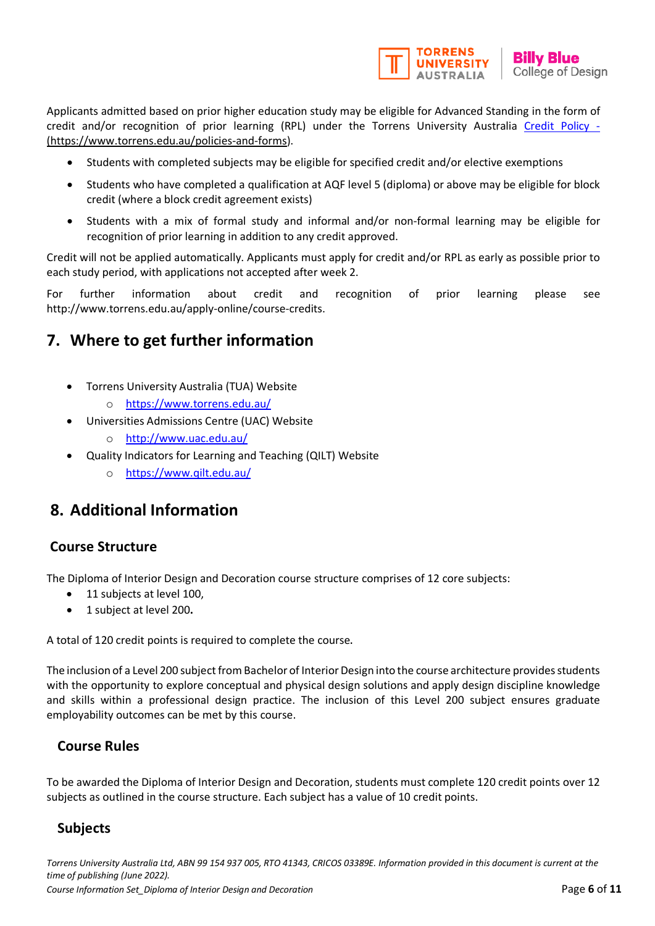

Applicants admitted based on prior higher education study may be eligible for Advanced Standing in the form of credit and/or recognition of prior learning (RPL) under the Torrens University Australia [Credit Policy](https://laureate-au.blackboard.com/bbcswebdav/institution/Groupwide/Policy%20and%20Procedures/TUA%20Policies%20and%20Procedures/TUA%20PL_AC_009%20Credit%20Policy.pdf) -[\(https://www.torrens.edu.au/policies-and-forms\)](https://www.torrens.edu.au/policies-and-forms).

- Students with completed subjects may be eligible for specified credit and/or elective exemptions
- Students who have completed a qualification at AQF level 5 (diploma) or above may be eligible for block credit (where a block credit agreement exists)
- Students with a mix of formal study and informal and/or non-formal learning may be eligible for recognition of prior learning in addition to any credit approved.

Credit will not be applied automatically. Applicants must apply for credit and/or RPL as early as possible prior to each study period, with applications not accepted after week 2.

For further information about credit and recognition of prior learning please see [http://www.torrens.edu.au/apply-online/course-credits.](http://www.torrens.edu.au/apply-online/course-credits)

## **7. Where to get further information**

- Torrens University Australia (TUA) Website
	- o <https://www.torrens.edu.au/>
	- [Universities Admissions Centre \(UAC\) Website](http://www.uac.edu.au/)
		- o <http://www.uac.edu.au/>
- [Quality Indicators for Learning and Teaching \(QILT\)](https://www.qilt.edu.au/) Website
	- o <https://www.qilt.edu.au/>

## **8. Additional Information**

## **Course Structure**

The Diploma of Interior Design and Decoration course structure comprises of 12 core subjects:

- 11 subjects at level 100,
- 1 subject at level 200**.**

A total of 120 credit points is required to complete the course.

The inclusion of a Level 200 subject from Bachelor of Interior Design into the course architecture provides students with the opportunity to explore conceptual and physical design solutions and apply design discipline knowledge and skills within a professional design practice. The inclusion of this Level 200 subject ensures graduate employability outcomes can be met by this course.

## **Course Rules**

To be awarded the Diploma of Interior Design and Decoration, students must complete 120 credit points over 12 subjects as outlined in the course structure. Each subject has a value of 10 credit points.

## **Subjects**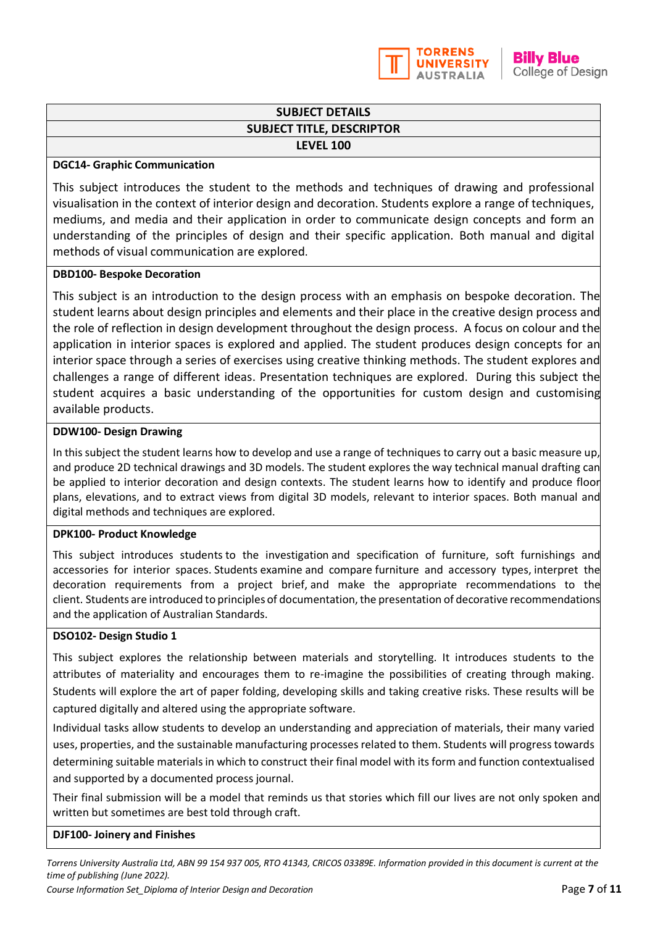

#### **SUBJECT DETAILS SUBJECT TITLE, DESCRIPTOR LEVEL 100**

#### **DGC14- Graphic Communication**

This subject introduces the student to the methods and techniques of drawing and professional visualisation in the context of interior design and decoration. Students explore a range of techniques, mediums, and media and their application in order to communicate design concepts and form an understanding of the principles of design and their specific application. Both manual and digital methods of visual communication are explored.

#### **DBD100- Bespoke Decoration**

This subject is an introduction to the design process with an emphasis on bespoke decoration. The student learns about design principles and elements and their place in the creative design process and the role of reflection in design development throughout the design process. A focus on colour and the application in interior spaces is explored and applied. The student produces design concepts for an interior space through a series of exercises using creative thinking methods. The student explores and challenges a range of different ideas. Presentation techniques are explored. During this subject the student acquires a basic understanding of the opportunities for custom design and customising available products.

#### **DDW100- Design Drawing**

In this subject the student learns how to develop and use a range of techniques to carry out a basic measure up, and produce 2D technical drawings and 3D models. The student explores the way technical manual drafting can be applied to interior decoration and design contexts. The student learns how to identify and produce floor plans, elevations, and to extract views from digital 3D models, relevant to interior spaces. Both manual and digital methods and techniques are explored.

#### **DPK100- Product Knowledge**

This subject introduces students to the investigation and specification of furniture, soft furnishings and accessories for interior spaces. Students examine and compare furniture and accessory types, interpret the decoration requirements from a project brief, and make the appropriate recommendations to the client. Students are introduced to principles of documentation, the presentation of decorative recommendations and the application of Australian Standards.

#### **DSO102- Design Studio 1**

This subject explores the relationship between materials and storytelling. It introduces students to the attributes of materiality and encourages them to re-imagine the possibilities of creating through making. Students will explore the art of paper folding, developing skills and taking creative risks. These results will be captured digitally and altered using the appropriate software.

Individual tasks allow students to develop an understanding and appreciation of materials, their many varied uses, properties, and the sustainable manufacturing processes related to them. Students will progress towards determining suitable materials in which to construct their final model with its form and function contextualised and supported by a documented process journal.

Their final submission will be a model that reminds us that stories which fill our lives are not only spoken and written but sometimes are best told through craft.

#### **DJF100- Joinery and Finishes**

*Torrens University Australia Ltd, ABN 99 154 937 005, RTO 41343, CRICOS 03389E. Information provided in this document is current at the time of publishing (June 2022).*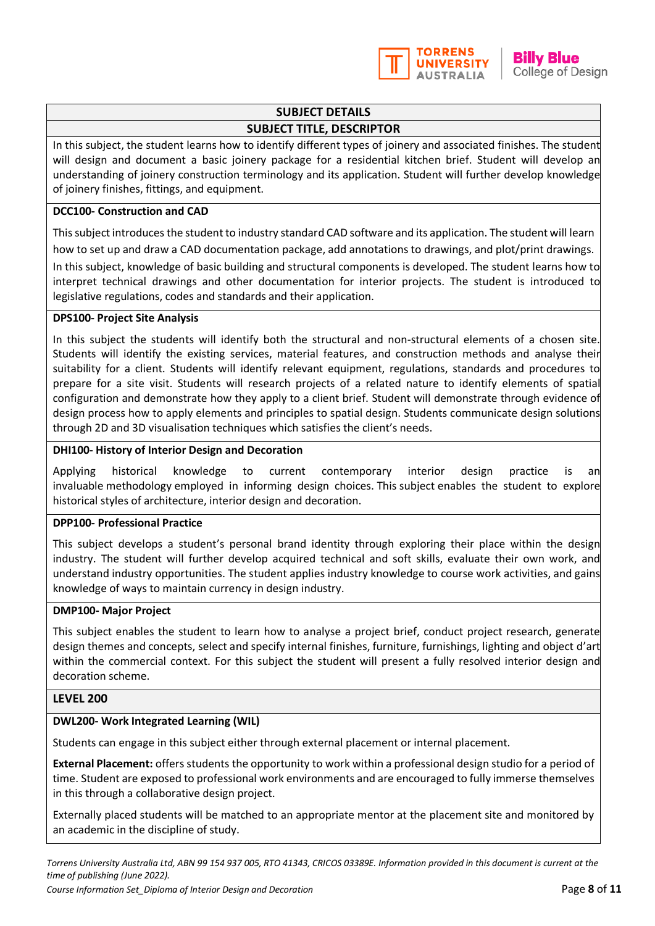

## **SUBJECT DETAILS**

### **SUBJECT TITLE, DESCRIPTOR**

In this subject, the student learns how to identify different types of joinery and associated finishes. The student will design and document a basic joinery package for a residential kitchen brief. Student will develop an understanding of joinery construction terminology and its application. Student will further develop knowledge of joinery finishes, fittings, and equipment.

#### **DCC100- Construction and CAD**

This subject introduces the student to industry standard CAD software and its application. The student will learn how to set up and draw a CAD documentation package, add annotations to drawings, and plot/print drawings. In this subject, knowledge of basic building and structural components is developed. The student learns how to interpret technical drawings and other documentation for interior projects. The student is introduced to

### legislative regulations, codes and standards and their application. **DPS100- Project Site Analysis**

In this subject the students will identify both the structural and non-structural elements of a chosen site. Students will identify the existing services, material features, and construction methods and analyse their suitability for a client. Students will identify relevant equipment, regulations, standards and procedures to prepare for a site visit. Students will research projects of a related nature to identify elements of spatia configuration and demonstrate how they apply to a client brief. Student will demonstrate through evidence of design process how to apply elements and principles to spatial design. Students communicate design solutions through 2D and 3D visualisation techniques which satisfies the client's needs.

#### **DHI100- History of Interior Design and Decoration**

Applying historical knowledge to current contemporary interior design practice is an invaluable methodology employed in informing design choices. This subject enables the student to explore historical styles of architecture, interior design and decoration.

#### **DPP100- Professional Practice**

This subject develops a student's personal brand identity through exploring their place within the design industry. The student will further develop acquired technical and soft skills, evaluate their own work, and understand industry opportunities. The student applies industry knowledge to course work activities, and gains knowledge of ways to maintain currency in design industry.

#### **DMP100- Major Project**

This subject enables the student to learn how to analyse a project brief, conduct project research, generate design themes and concepts, select and specify internal finishes, furniture, furnishings, lighting and object d'art within the commercial context. For this subject the student will present a fully resolved interior design and decoration scheme.

#### **LEVEL 200**

#### **DWL200- Work Integrated Learning (WIL)**

Students can engage in this subject either through external placement or internal placement.

**External Placement:** offers students the opportunity to work within a professional design studio for a period of time. Student are exposed to professional work environments and are encouraged to fully immerse themselves in this through a collaborative design project.

Externally placed students will be matched to an appropriate mentor at the placement site and monitored by an academic in the discipline of study.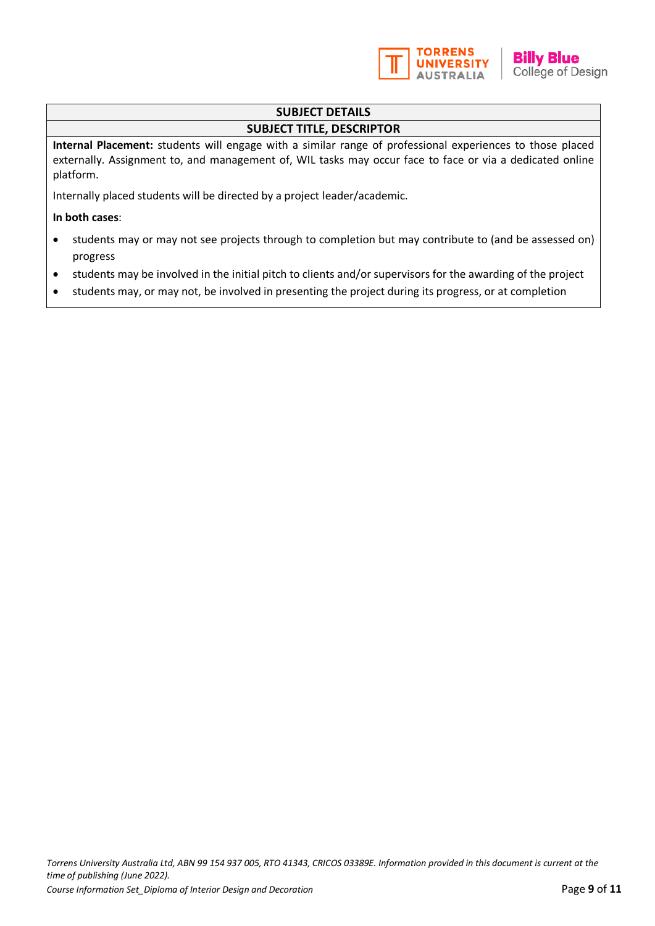

### **SUBJECT DETAILS**

#### **SUBJECT TITLE, DESCRIPTOR**

**Internal Placement:** students will engage with a similar range of professional experiences to those placed externally. Assignment to, and management of, WIL tasks may occur face to face or via a dedicated online platform.

Internally placed students will be directed by a project leader/academic.

#### **In both cases**:

- students may or may not see projects through to completion but may contribute to (and be assessed on) progress
- students may be involved in the initial pitch to clients and/or supervisors for the awarding of the project
- students may, or may not, be involved in presenting the project during its progress, or at completion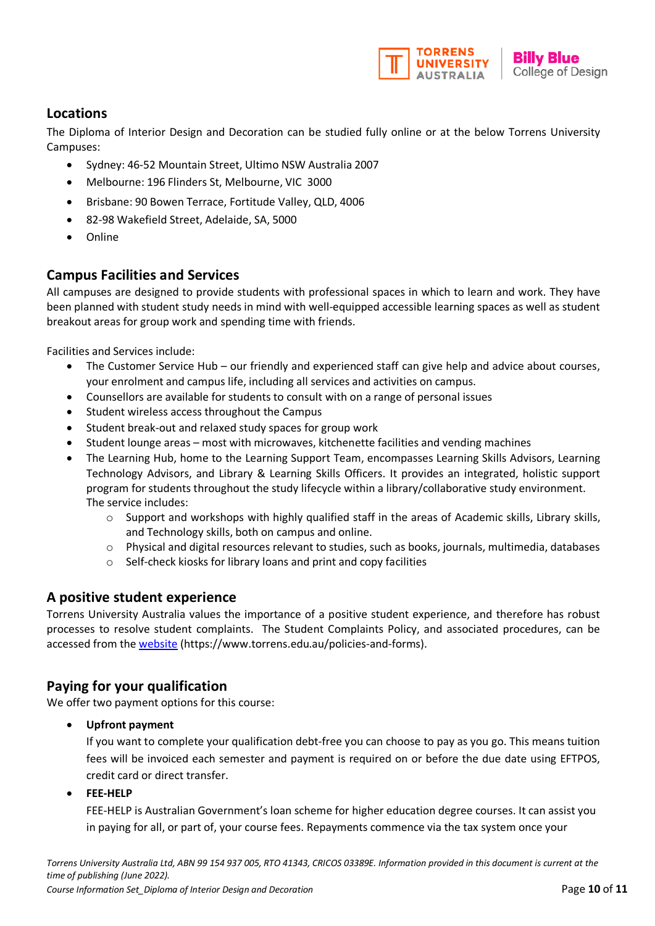

### **Locations**

The Diploma of Interior Design and Decoration can be studied fully online or at the below Torrens University Campuses:

- Sydney: 46-52 Mountain Street, Ultimo NSW Australia 2007
- Melbourne: 196 Flinders St, Melbourne, VIC 3000
- Brisbane: 90 Bowen Terrace, Fortitude Valley, QLD, 4006
- 82-98 Wakefield Street, Adelaide, SA, 5000
- Online

### **Campus Facilities and Services**

All campuses are designed to provide students with professional spaces in which to learn and work. They have been planned with student study needs in mind with well-equipped accessible learning spaces as well as student breakout areas for group work and spending time with friends.

Facilities and Services include:

- The Customer Service Hub our friendly and experienced staff can give help and advice about courses, your enrolment and campus life, including all services and activities on campus.
- Counsellors are available for students to consult with on a range of personal issues
- Student wireless access throughout the Campus
- Student break-out and relaxed study spaces for group work
- Student lounge areas most with microwaves, kitchenette facilities and vending machines
- The Learning Hub, home to the Learning Support Team, encompasses Learning Skills Advisors, Learning Technology Advisors, and Library & Learning Skills Officers. It provides an integrated, holistic support program for students throughout the study lifecycle within a library/collaborative study environment. The service includes:
	- $\circ$  Support and workshops with highly qualified staff in the areas of Academic skills, Library skills, and Technology skills, both on campus and online.
	- o Physical and digital resources relevant to studies, such as books, journals, multimedia, databases
	- o Self-check kiosks for library loans and print and copy facilities

#### **A positive student experience**

Torrens University Australia values the importance of a positive student experience, and therefore has robust processes to resolve student complaints. The Student Complaints Policy, and associated procedures, can be accessed from the [website](http://www.torrens.edu.au/policies-and-forms) (https://www.torrens.edu.au/policies-and-forms).

### **Paying for your qualification**

We offer two payment options for this course:

• **Upfront payment**

If you want to complete your qualification debt-free you can choose to pay as you go. This means tuition fees will be invoiced each semester and payment is required on or before the due date using EFTPOS, credit card or direct transfer.

• **FEE-HELP**

FEE-HELP is Australian Government's loan scheme for higher education degree courses. It can assist you in paying for all, or part of, your course fees. Repayments commence via the tax system once your